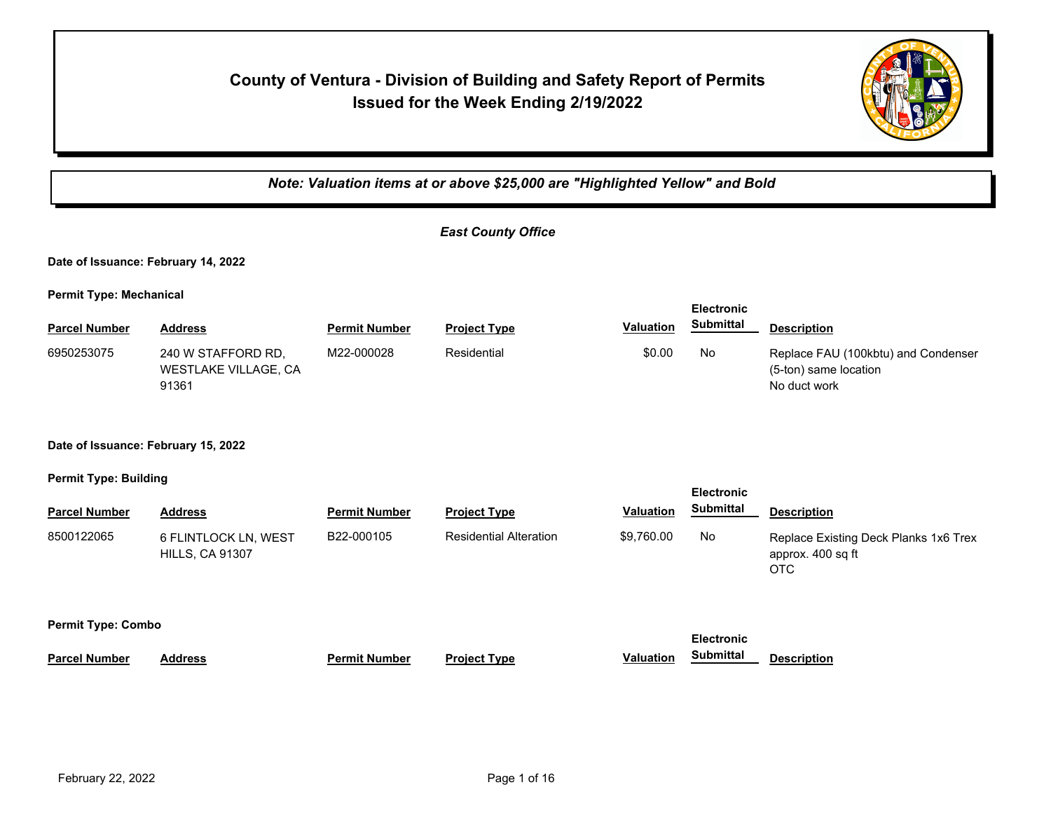# **County of Ventura - Division of Building and Safety Report of Permits Issued for the Week Ending 2/19/2022**



*Note: Valuation items at or above \$25,000 are "Highlighted Yellow" and Bold*

| <b>East County Office</b> |  |
|---------------------------|--|
|---------------------------|--|

**Date of Issuance: February 14, 2022**

**Permit Type: Mechanical**

|                      |                                                     |                      |                     |                  | <b>Electronic</b> |                                                                              |
|----------------------|-----------------------------------------------------|----------------------|---------------------|------------------|-------------------|------------------------------------------------------------------------------|
| <b>Parcel Number</b> | <b>Address</b>                                      | <b>Permit Number</b> | <b>Project Type</b> | <b>Valuation</b> | <b>Submittal</b>  | <b>Description</b>                                                           |
| 6950253075           | 240 W STAFFORD RD.<br>WESTLAKE VILLAGE, CA<br>91361 | M22-000028           | Residential         | \$0.00           | No                | Replace FAU (100kbtu) and Condenser<br>(5-ton) same location<br>No duct work |

**Date of Issuance: February 15, 2022**

**Permit Type: Building**

| <b>Parcel Number</b> | <b>Address</b>                                 | <b>Permit Number</b> | <b>Project Type</b>           | <b>Valuation</b> | Submittal                             | <b>Description</b>                                                |  |  |
|----------------------|------------------------------------------------|----------------------|-------------------------------|------------------|---------------------------------------|-------------------------------------------------------------------|--|--|
| 8500122065           | 6 FLINTLOCK LN, WEST<br><b>HILLS, CA 91307</b> | B22-000105           | <b>Residential Alteration</b> | \$9,760.00       | No                                    | Replace Existing Deck Planks 1x6 Trex<br>approx. 400 sq ft<br>OTC |  |  |
|                      | <b>Permit Type: Combo</b>                      |                      |                               |                  |                                       |                                                                   |  |  |
| <b>Parcel Number</b> | <b>Address</b>                                 | <b>Permit Number</b> | <b>Project Type</b>           | <b>Valuation</b> | <b>Electronic</b><br><b>Submittal</b> | <b>Description</b>                                                |  |  |
|                      |                                                |                      |                               |                  |                                       |                                                                   |  |  |

**Electronic**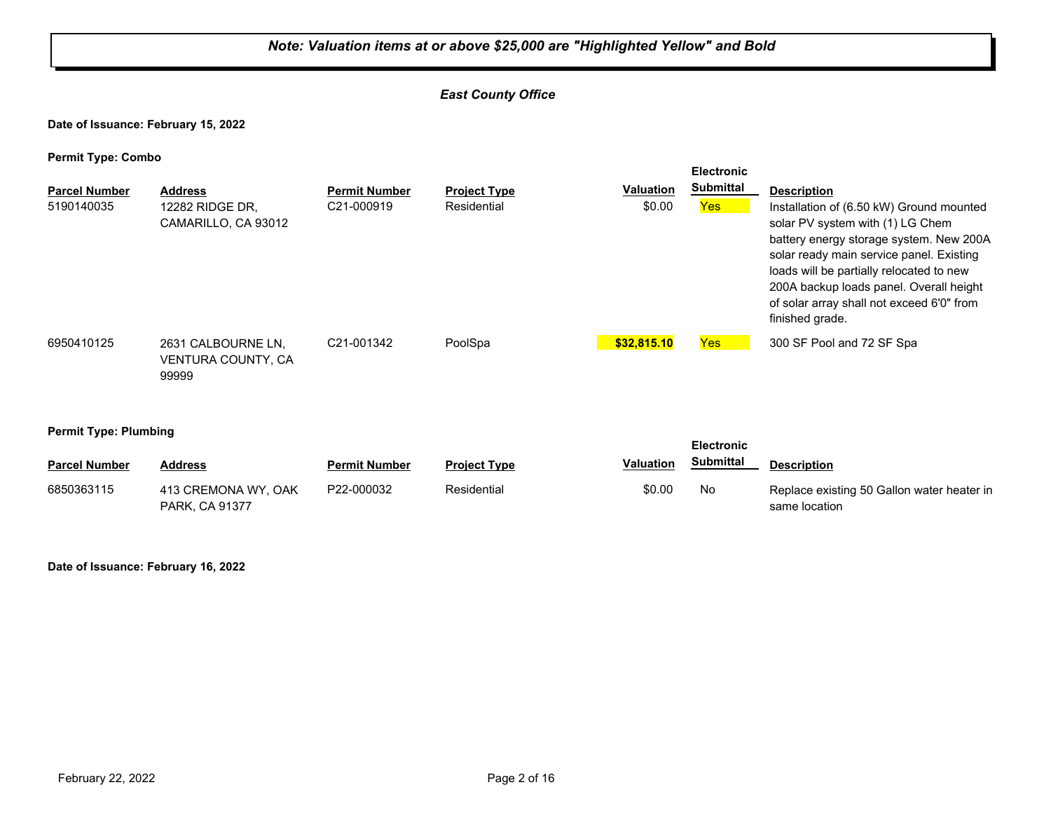# *Note: Valuation items at or above \$25,000 are "Highlighted Yellow" and Bold East County Office* **Date of Issuance: February 15, 2022 Permit Type: Combo Parcel Number Address Permit Number Project Type Valuation Description Electronic Submittal** 5190140035 12282 RIDGE DR, C21-000919 Residential \$0.00 <mark>Yes</mark> CAMARILLO, CA 93012 \$0.00 Yes Installation of (6.50 kW) Ground mounted solar PV system with (1) LG Chem battery energy storage system. New 200A solar ready main service panel. Existing loads will be partially relocated to new 200A backup loads panel. Overall height of solar array shall not exceed 6'0" from finished grade. 2631 CALBOURNE LN, VENTURA COUNTY, CA 99999 6950410125 C21-001342 PoolSpa **\$32,815.10** Yes 300 SF Pool and 72 SF Spa

#### **Permit Type: Plumbing**

|                      |                                              |                      |                     |                  | <b>Electronic</b> |                                                             |
|----------------------|----------------------------------------------|----------------------|---------------------|------------------|-------------------|-------------------------------------------------------------|
| <b>Parcel Number</b> | <b>Address</b>                               | <b>Permit Number</b> | <b>Project Type</b> | <b>Valuation</b> | <b>Submittal</b>  | <b>Description</b>                                          |
| 6850363115           | 413 CREMONA WY, OAK<br><b>PARK. CA 91377</b> | P22-000032           | Residential         | \$0.00           | No                | Replace existing 50 Gallon water heater in<br>same location |

**Date of Issuance: February 16, 2022**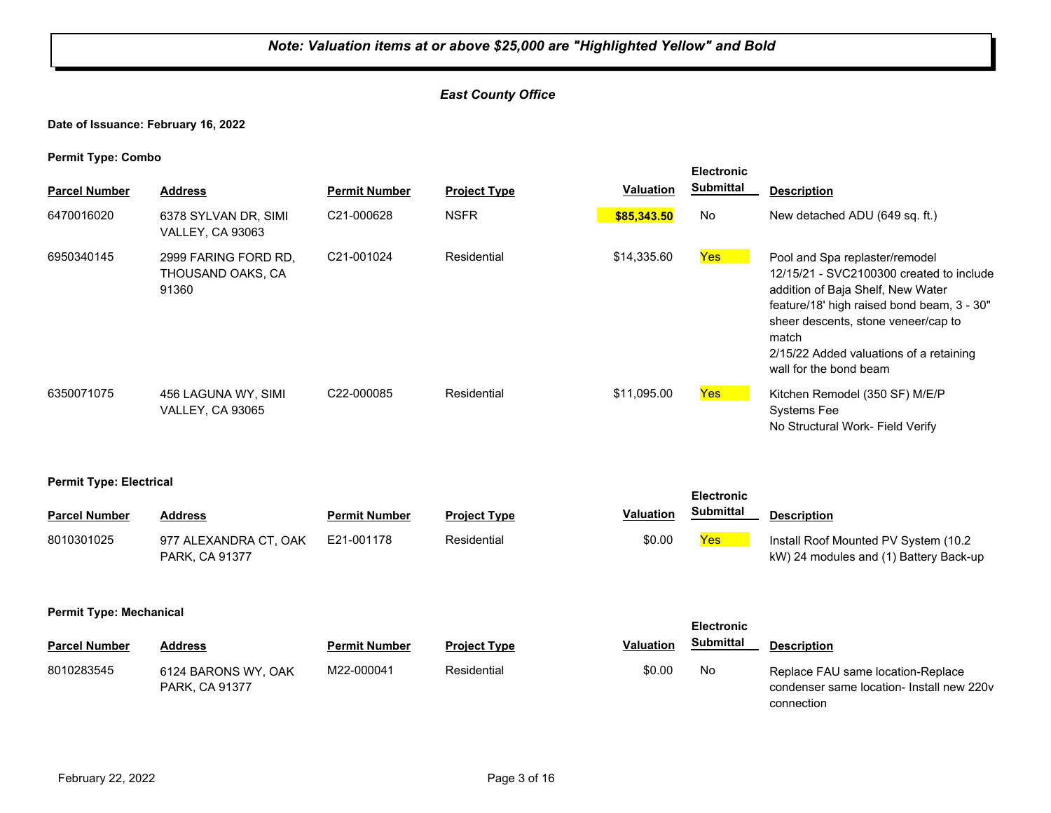# *East County Office*

## **Date of Issuance: February 16, 2022**

|                                |                                                    |                      |                     |                  | <b>Electronic</b>                     |                                                                                                                                                                                                                                                                                    |  |  |
|--------------------------------|----------------------------------------------------|----------------------|---------------------|------------------|---------------------------------------|------------------------------------------------------------------------------------------------------------------------------------------------------------------------------------------------------------------------------------------------------------------------------------|--|--|
| <b>Parcel Number</b>           | <b>Address</b>                                     | <b>Permit Number</b> | <b>Project Type</b> | <b>Valuation</b> | <b>Submittal</b>                      | <b>Description</b>                                                                                                                                                                                                                                                                 |  |  |
| 6470016020                     | 6378 SYLVAN DR, SIMI<br>VALLEY, CA 93063           | C21-000628           | <b>NSFR</b>         | \$85,343.50      | No                                    | New detached ADU (649 sq. ft.)                                                                                                                                                                                                                                                     |  |  |
| 6950340145                     | 2999 FARING FORD RD,<br>THOUSAND OAKS, CA<br>91360 | C21-001024           | Residential         | \$14,335.60      | <b>Yes</b>                            | Pool and Spa replaster/remodel<br>12/15/21 - SVC2100300 created to include<br>addition of Baja Shelf, New Water<br>feature/18' high raised bond beam, 3 - 30"<br>sheer descents, stone veneer/cap to<br>match<br>2/15/22 Added valuations of a retaining<br>wall for the bond beam |  |  |
| 6350071075                     | 456 LAGUNA WY, SIMI<br><b>VALLEY, CA 93065</b>     | C22-000085           | Residential         | \$11,095.00      | <b>Yes</b>                            | Kitchen Remodel (350 SF) M/E/P<br><b>Systems Fee</b><br>No Structural Work- Field Verify                                                                                                                                                                                           |  |  |
| <b>Permit Type: Electrical</b> |                                                    |                      |                     |                  | <b>Electronic</b>                     |                                                                                                                                                                                                                                                                                    |  |  |
| <b>Parcel Number</b>           | <b>Address</b>                                     | <b>Permit Number</b> | <b>Project Type</b> | <b>Valuation</b> | <b>Submittal</b>                      | <b>Description</b>                                                                                                                                                                                                                                                                 |  |  |
| 8010301025                     | 977 ALEXANDRA CT, OAK<br>PARK, CA 91377            | E21-001178           | Residential         | \$0.00           | <b>Yes</b>                            | Install Roof Mounted PV System (10.2<br>kW) 24 modules and (1) Battery Back-up                                                                                                                                                                                                     |  |  |
|                                | <b>Permit Type: Mechanical</b>                     |                      |                     |                  |                                       |                                                                                                                                                                                                                                                                                    |  |  |
| <b>Parcel Number</b>           | <b>Address</b>                                     | <b>Permit Number</b> | <b>Project Type</b> | <b>Valuation</b> | <b>Electronic</b><br><b>Submittal</b> | <b>Description</b>                                                                                                                                                                                                                                                                 |  |  |
| 8010283545                     | 6124 BARONS WY, OAK<br>PARK, CA 91377              | M22-000041           | Residential         | \$0.00           | No                                    | Replace FAU same location-Replace<br>condenser same location- Install new 220v<br>connection                                                                                                                                                                                       |  |  |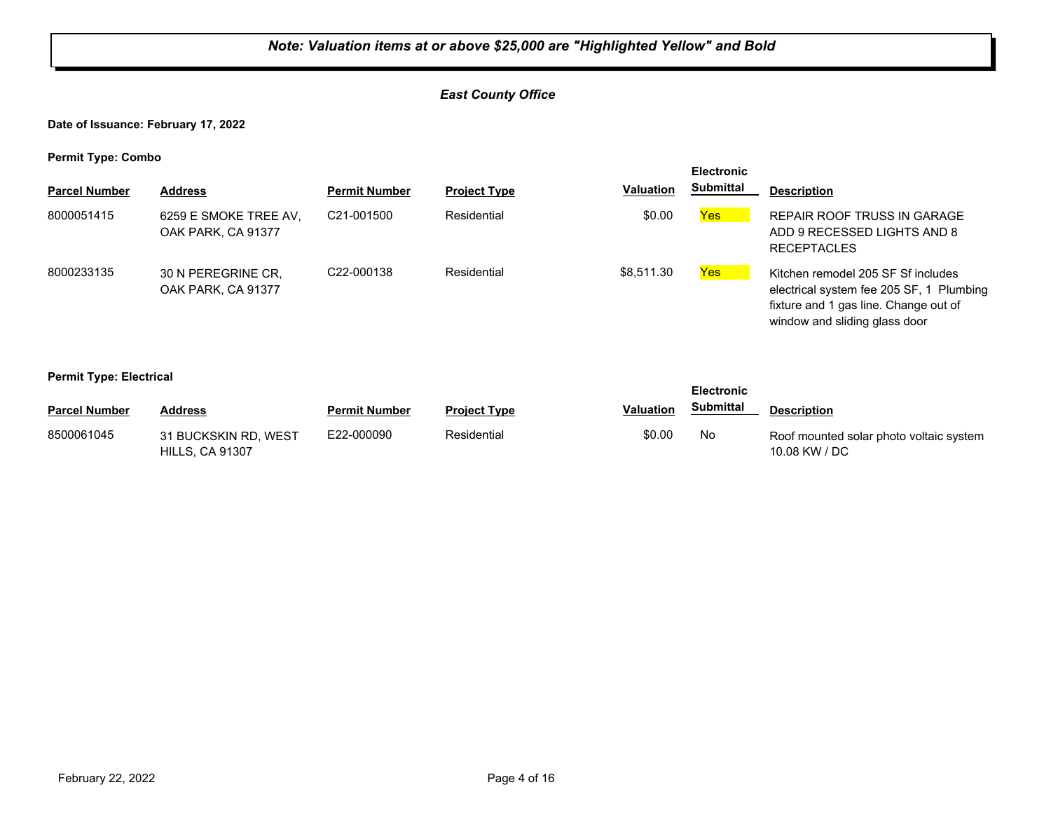# *East County Office*

**Date of Issuance: February 17, 2022**

**Permit Type: Combo**

| . .                  |                                             |                         |                     |                  | <b>Electronic</b> |                                                                                                                                                          |
|----------------------|---------------------------------------------|-------------------------|---------------------|------------------|-------------------|----------------------------------------------------------------------------------------------------------------------------------------------------------|
| <b>Parcel Number</b> | <b>Address</b>                              | <b>Permit Number</b>    | <b>Project Type</b> | <b>Valuation</b> | <b>Submittal</b>  | <b>Description</b>                                                                                                                                       |
| 8000051415           | 6259 E SMOKE TREE AV,<br>OAK PARK, CA 91377 | C <sub>21</sub> -001500 | Residential         | \$0.00           | Yes               | REPAIR ROOF TRUSS IN GARAGE<br>ADD 9 RECESSED LIGHTS AND 8<br><b>RECEPTACLES</b>                                                                         |
| 8000233135           | 30 N PEREGRINE CR.<br>OAK PARK, CA 91377    | C22-000138              | Residential         | \$8,511.30       | <b>Yes</b>        | Kitchen remodel 205 SF Sf includes<br>electrical system fee 205 SF, 1 Plumbing<br>fixture and 1 gas line. Change out of<br>window and sliding glass door |

#### **Permit Type: Electrical**

| - -                  |                                                |                      |                     |           | <b>Electronic</b> |                                                          |
|----------------------|------------------------------------------------|----------------------|---------------------|-----------|-------------------|----------------------------------------------------------|
| <b>Parcel Number</b> | <b>Address</b>                                 | <b>Permit Number</b> | <b>Project Type</b> | Valuation | Submittal         | <b>Description</b>                                       |
| 8500061045           | 31 BUCKSKIN RD. WEST<br><b>HILLS, CA 91307</b> | E22-000090           | Residential         | \$0.00    | No                | Roof mounted solar photo voltaic system<br>10.08 KW / DC |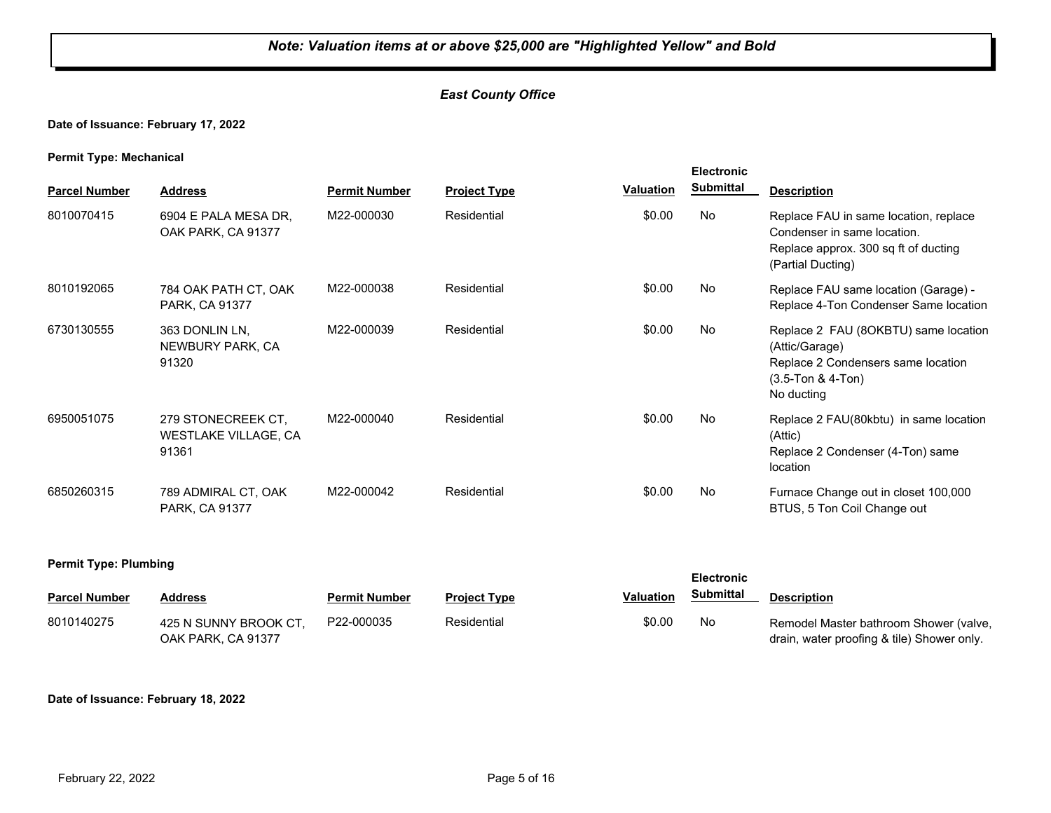# *East County Office*

# **Date of Issuance: February 17, 2022**

#### **Permit Type: Mechanical**

| . .<br><b>Parcel Number</b> | <b>Address</b>                                      | <b>Permit Number</b> | <b>Project Type</b> | Valuation | <b>Electronic</b><br><b>Submittal</b> | <b>Description</b>                                                                                                                |
|-----------------------------|-----------------------------------------------------|----------------------|---------------------|-----------|---------------------------------------|-----------------------------------------------------------------------------------------------------------------------------------|
| 8010070415                  | 6904 E PALA MESA DR.<br>OAK PARK, CA 91377          | M22-000030           | Residential         | \$0.00    | <b>No</b>                             | Replace FAU in same location, replace<br>Condenser in same location.<br>Replace approx. 300 sq ft of ducting<br>(Partial Ducting) |
| 8010192065                  | 784 OAK PATH CT, OAK<br>PARK, CA 91377              | M22-000038           | Residential         | \$0.00    | No                                    | Replace FAU same location (Garage) -<br>Replace 4-Ton Condenser Same location                                                     |
| 6730130555                  | 363 DONLIN LN.<br>NEWBURY PARK, CA<br>91320         | M22-000039           | Residential         | \$0.00    | No                                    | Replace 2 FAU (8OKBTU) same location<br>(Attic/Garage)<br>Replace 2 Condensers same location<br>$(3.5-Ton & 4-Ton)$<br>No ducting |
| 6950051075                  | 279 STONECREEK CT.<br>WESTLAKE VILLAGE, CA<br>91361 | M22-000040           | Residential         | \$0.00    | <b>No</b>                             | Replace 2 FAU(80kbtu) in same location<br>(Attic)<br>Replace 2 Condenser (4-Ton) same<br>location                                 |
| 6850260315                  | 789 ADMIRAL CT, OAK<br>PARK, CA 91377               | M22-000042           | Residential         | \$0.00    | No                                    | Furnace Change out in closet 100,000<br>BTUS, 5 Ton Coil Change out                                                               |

#### **Permit Type: Plumbing**

| ___                  |                                             |                      |                     |                  | <b>Electronic</b> |                                                                                      |
|----------------------|---------------------------------------------|----------------------|---------------------|------------------|-------------------|--------------------------------------------------------------------------------------|
| <b>Parcel Number</b> | Address                                     | <b>Permit Number</b> | <b>Project Type</b> | <b>Valuation</b> | Submittal         | <b>Description</b>                                                                   |
| 8010140275           | 425 N SUNNY BROOK CT.<br>OAK PARK, CA 91377 | P22-000035           | Residential         | \$0.00           | No                | Remodel Master bathroom Shower (valve,<br>drain, water proofing & tile) Shower only. |

#### **Date of Issuance: February 18, 2022**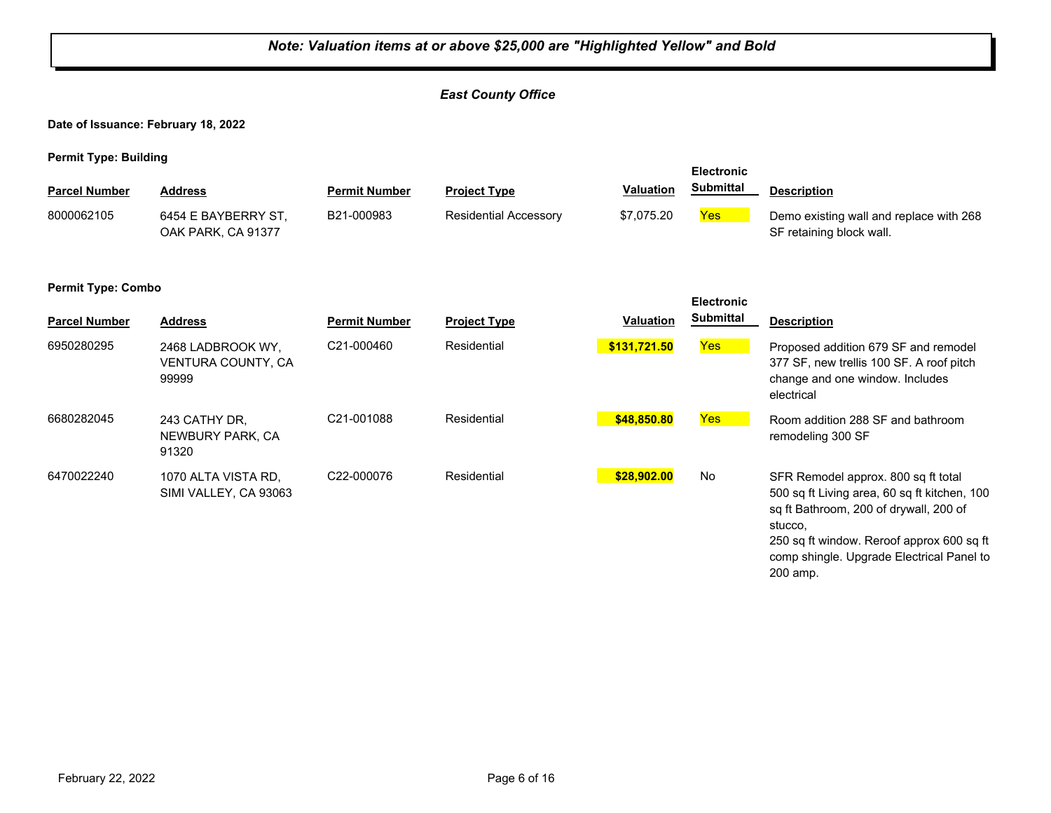#### *Note: Valuation items at or above \$25,000 are "Highlighted Yellow" and Bold East County Office* **Date of Issuance: February 18, 2022 Permit Type: Building Parcel Number Address <b>Permit Number Project Type Valuation Submittal Description Electronic Submittal** 8000062105 6454 E BAYBERRY ST, B21-000983 Residential Accessory \$7,075.20 <mark>Yes</mark> OAK PARK, CA 91377 B21-000983 Residential Accessory \$7,075.20 **Yes** Demo existing wall and replace with 268 SF retaining block wall. **Permit Type: Combo Parcel Number Address Permit Number Project Type Valuation Description Electronic Submittal** 6950280295 2468 LADBROOK WY, C21-000460 Residential <mark> \$131,721.50</mark> <mark>Yes</mark> VENTURA COUNTY, CA 99999 C21-000460 Residential **\$131,721.50** Proposed addition 679 SF and remodel 377 SF, new trellis 100 SF. A roof pitch change and one window. Includes electrical 6680282045 243 CATHY DR, C21-001088 Residential <mark> \$48,850.80</mark> <mark>Yes</mark> NEWBURY PARK, CA 91320 C21-001088 Residential **\$48,850.80** Room addition 288 SF and bathroom remodeling 300 SF 6470022240 1070 ALTA VISTA RD, C22-000076 Residential <mark> \$28,902.00</mark> No SIMI VALLEY, CA 93063 C22-000076 Residential **\$28,902.00** SFR Remodel approx. 800 sq ft total 500 sq ft Living area, 60 sq ft kitchen, 100 sq ft Bathroom, 200 of drywall, 200 of stucco, 250 sq ft window. Reroof approx 600 sq ft comp shingle. Upgrade Electrical Panel to 200 amp.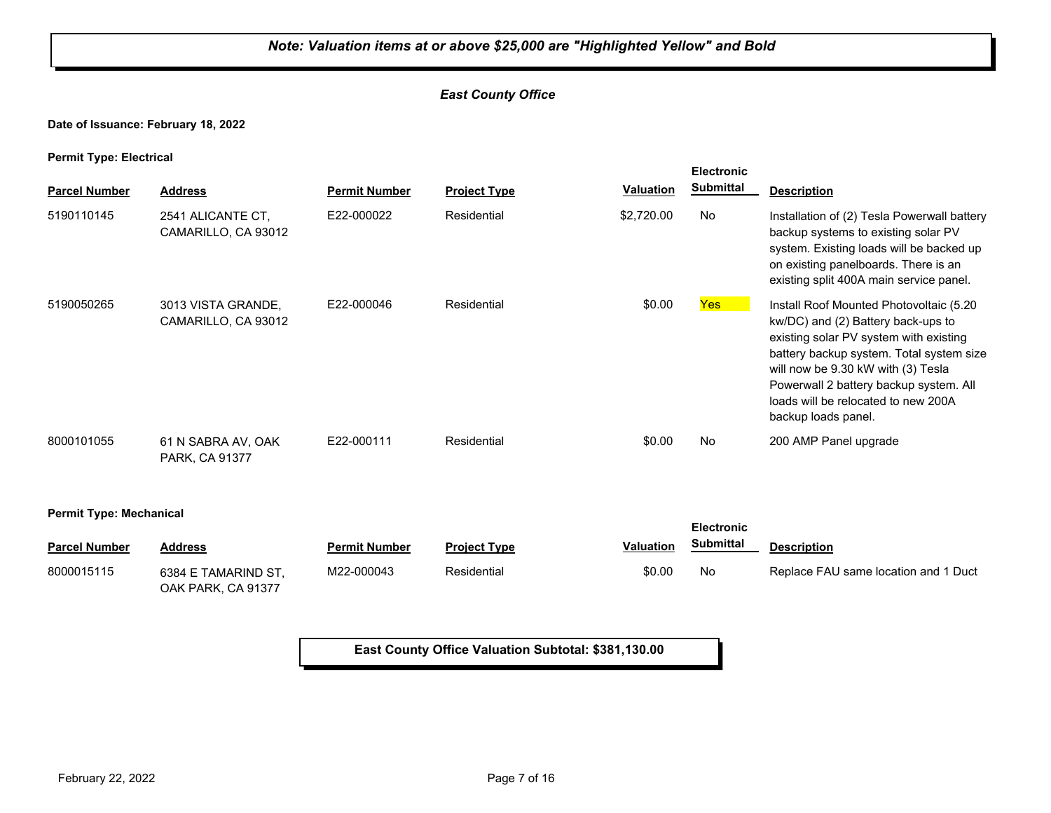# *East County Office*

## **Date of Issuance: February 18, 2022**

**Permit Type: Electrical**

| <b>Parcel Number</b>           | <b>Address</b>                            | <b>Permit Number</b> | <b>Project Type</b> | Valuation  | <b>Electronic</b><br><b>Submittal</b> | <b>Description</b>                                                                                                                                                                                                                                                                                                |
|--------------------------------|-------------------------------------------|----------------------|---------------------|------------|---------------------------------------|-------------------------------------------------------------------------------------------------------------------------------------------------------------------------------------------------------------------------------------------------------------------------------------------------------------------|
| 5190110145                     | 2541 ALICANTE CT.<br>CAMARILLO, CA 93012  | E22-000022           | Residential         | \$2,720.00 | No                                    | Installation of (2) Tesla Powerwall battery<br>backup systems to existing solar PV<br>system. Existing loads will be backed up<br>on existing panelboards. There is an<br>existing split 400A main service panel.                                                                                                 |
| 5190050265                     | 3013 VISTA GRANDE,<br>CAMARILLO, CA 93012 | E22-000046           | Residential         | \$0.00     | Yes <sup>1</sup>                      | Install Roof Mounted Photovoltaic (5.20<br>kw/DC) and (2) Battery back-ups to<br>existing solar PV system with existing<br>battery backup system. Total system size<br>will now be 9.30 kW with (3) Tesla<br>Powerwall 2 battery backup system. All<br>loads will be relocated to new 200A<br>backup loads panel. |
| 8000101055                     | 61 N SABRA AV, OAK<br>PARK, CA 91377      | E22-000111           | Residential         | \$0.00     | No                                    | 200 AMP Panel upgrade                                                                                                                                                                                                                                                                                             |
| <b>Permit Type: Mechanical</b> |                                           |                      |                     |            |                                       |                                                                                                                                                                                                                                                                                                                   |

|                      |                                           |                      |                     |           | <b>Electronic</b> |                                      |
|----------------------|-------------------------------------------|----------------------|---------------------|-----------|-------------------|--------------------------------------|
| <b>Parcel Number</b> | <b>Address</b>                            | <b>Permit Number</b> | <b>Project Type</b> | Valuation | <b>Submittal</b>  | <b>Description</b>                   |
| 8000015115           | 6384 E TAMARIND ST.<br>OAK PARK. CA 91377 | M22-000043           | Residential         | \$0.00    | No                | Replace FAU same location and 1 Duct |

**East County Office Valuation Subtotal: \$381,130.00**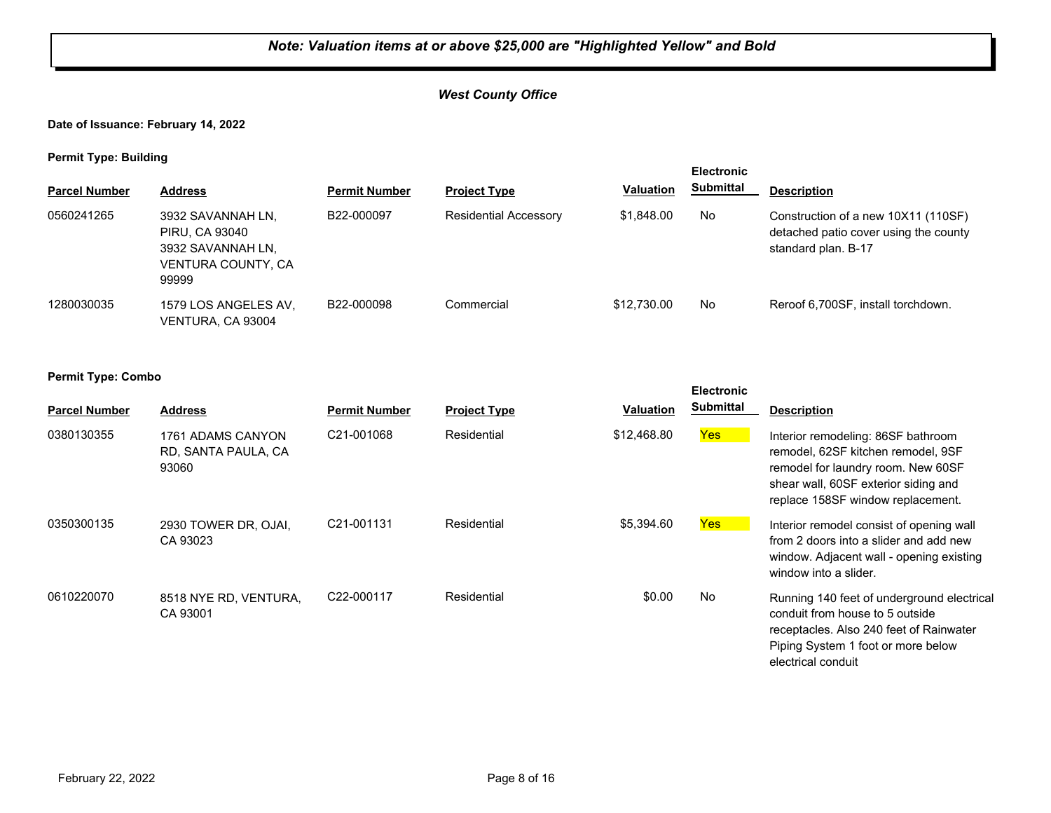# *West County Office*

# **Date of Issuance: February 14, 2022**

#### **Permit Type: Building**

| . .                  |                                                                                         |                      |                              |                  | <b>Electronic</b> |                                                                                                     |
|----------------------|-----------------------------------------------------------------------------------------|----------------------|------------------------------|------------------|-------------------|-----------------------------------------------------------------------------------------------------|
| <b>Parcel Number</b> | <b>Address</b>                                                                          | <b>Permit Number</b> | <b>Project Type</b>          | <b>Valuation</b> | <b>Submittal</b>  | <b>Description</b>                                                                                  |
| 0560241265           | 3932 SAVANNAH LN,<br>PIRU, CA 93040<br>3932 SAVANNAH LN.<br>VENTURA COUNTY, CA<br>99999 | B22-000097           | <b>Residential Accessory</b> | \$1,848,00       | No.               | Construction of a new 10X11 (110SF)<br>detached patio cover using the county<br>standard plan. B-17 |
| 1280030035           | 1579 LOS ANGELES AV.<br>VENTURA, CA 93004                                               | B22-000098           | Commercial                   | \$12,730.00      | No.               | Reroof 6,700SF, install torchdown.                                                                  |

| <b>Parcel Number</b> | <b>Address</b>                                    | <b>Permit Number</b>    | <b>Project Type</b> | Valuation   | <b>Electronic</b><br><b>Submittal</b> | <b>Description</b>                                                                                                                                                                          |
|----------------------|---------------------------------------------------|-------------------------|---------------------|-------------|---------------------------------------|---------------------------------------------------------------------------------------------------------------------------------------------------------------------------------------------|
| 0380130355           | 1761 ADAMS CANYON<br>RD, SANTA PAULA, CA<br>93060 | C <sub>21</sub> -001068 | Residential         | \$12,468.80 | Yes                                   | Interior remodeling: 86SF bathroom<br>remodel, 62SF kitchen remodel, 9SF<br>remodel for laundry room. New 60SF<br>shear wall, 60SF exterior siding and<br>replace 158SF window replacement. |
| 0350300135           | 2930 TOWER DR, OJAI,<br>CA 93023                  | C <sub>21</sub> -001131 | Residential         | \$5,394.60  | Yes                                   | Interior remodel consist of opening wall<br>from 2 doors into a slider and add new<br>window. Adjacent wall - opening existing<br>window into a slider.                                     |
| 0610220070           | 8518 NYE RD, VENTURA,<br>CA 93001                 | C22-000117              | Residential         | \$0.00      | No                                    | Running 140 feet of underground electrical<br>conduit from house to 5 outside<br>receptacles. Also 240 feet of Rainwater<br>Piping System 1 foot or more below<br>electrical conduit        |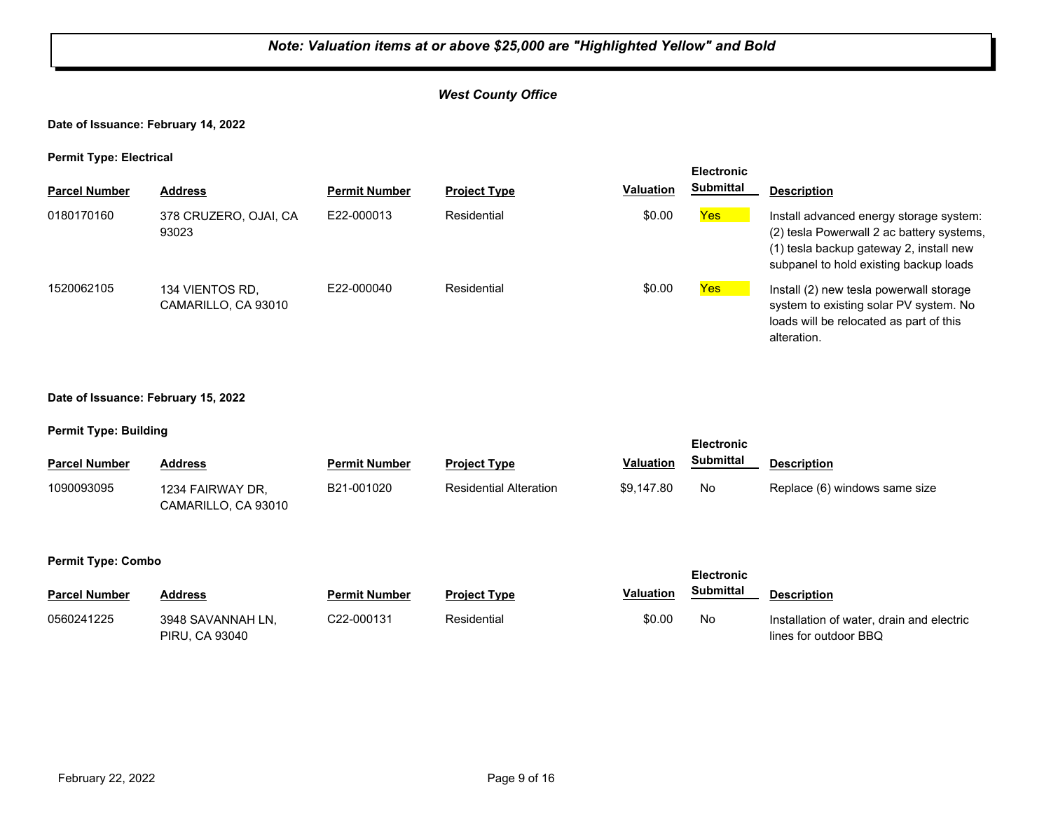# *West County Office*

#### **Date of Issuance: February 14, 2022**

#### **Permit Type: Electrical**

|                      | <b>Electronic</b>                      |                      |                     |                  |            |                                                                                                                                                                           |
|----------------------|----------------------------------------|----------------------|---------------------|------------------|------------|---------------------------------------------------------------------------------------------------------------------------------------------------------------------------|
| <b>Parcel Number</b> | <b>Address</b>                         | <b>Permit Number</b> | <b>Project Type</b> | <b>Valuation</b> | Submittal  | <b>Description</b>                                                                                                                                                        |
| 0180170160           | 378 CRUZERO, OJAI, CA<br>93023         | F22-000013           | Residential         | \$0.00           | Yes        | Install advanced energy storage system:<br>(2) tesla Powerwall 2 ac battery systems,<br>(1) tesla backup gateway 2, install new<br>subpanel to hold existing backup loads |
| 1520062105           | 134 VIENTOS RD.<br>CAMARILLO, CA 93010 | F22-000040           | Residential         | \$0.00           | <b>Yes</b> | Install (2) new tesla powerwall storage<br>system to existing solar PV system. No<br>loads will be relocated as part of this<br>alteration.                               |

#### **Date of Issuance: February 15, 2022**

#### **Permit Type: Building**

| - -                  |                                         |                      |                               |                  | <b>Electronic</b> |                               |
|----------------------|-----------------------------------------|----------------------|-------------------------------|------------------|-------------------|-------------------------------|
| <b>Parcel Number</b> | <b>Address</b>                          | <b>Permit Number</b> | <b>Project Type</b>           | <b>Valuation</b> | Submittal         | <b>Description</b>            |
| 1090093095           | 1234 FAIRWAY DR.<br>CAMARILLO, CA 93010 | B21-001020           | <b>Residential Alteration</b> | \$9.147.80       | No                | Replace (6) windows same size |

|                      |                                     |                      |                     |                  | <b>Electronic</b> |                                                                    |
|----------------------|-------------------------------------|----------------------|---------------------|------------------|-------------------|--------------------------------------------------------------------|
| <b>Parcel Number</b> | Address                             | <b>Permit Number</b> | <b>Project Type</b> | <b>Valuation</b> | <b>Submittal</b>  | <b>Description</b>                                                 |
| 0560241225           | 3948 SAVANNAH LN.<br>PIRU, CA 93040 | C22-000131           | Residential         | \$0.00           | No                | Installation of water, drain and electric<br>lines for outdoor BBQ |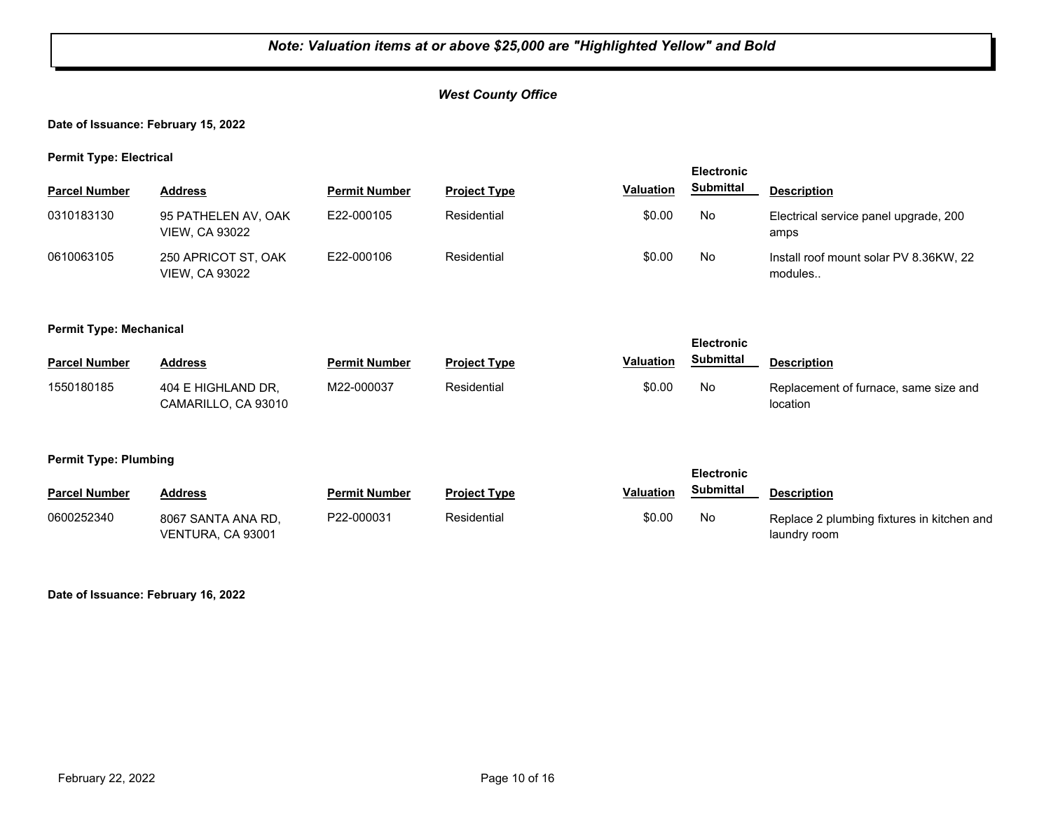# *West County Office*

### **Date of Issuance: February 15, 2022**

**Permit Type: Electrical**

| . .                  |                                              |                      |                     |                  | <b>Electronic</b> |                                                   |
|----------------------|----------------------------------------------|----------------------|---------------------|------------------|-------------------|---------------------------------------------------|
| <b>Parcel Number</b> | <b>Address</b>                               | <b>Permit Number</b> | <b>Project Type</b> | <b>Valuation</b> | <b>Submittal</b>  | <b>Description</b>                                |
| 0310183130           | 95 PATHELEN AV, OAK<br><b>VIEW, CA 93022</b> | E22-000105           | Residential         | \$0.00           | No.               | Electrical service panel upgrade, 200<br>amps     |
| 0610063105           | 250 APRICOT ST, OAK<br><b>VIEW, CA 93022</b> | E22-000106           | Residential         | \$0.00           | No                | Install roof mount solar PV 8.36KW, 22<br>modules |

#### **Permit Type: Mechanical**

| . .                  |                                           |                      |                     |                  | <b>Electronic</b> |                                                   |
|----------------------|-------------------------------------------|----------------------|---------------------|------------------|-------------------|---------------------------------------------------|
| <b>Parcel Number</b> | Address                                   | <b>Permit Number</b> | <b>Project Type</b> | <b>Valuation</b> | Submittal         | <b>Description</b>                                |
| 1550180185           | 404 E HIGHLAND DR.<br>CAMARILLO, CA 93010 | M22-000037           | Residential         | \$0.00           | No                | Replacement of furnace, same size and<br>location |

#### **Permit Type: Plumbing**

|                      |                                         |                      |                     |                  |           | <b>Electronic</b>                                          |  |  |
|----------------------|-----------------------------------------|----------------------|---------------------|------------------|-----------|------------------------------------------------------------|--|--|
| <b>Parcel Number</b> | <b>Address</b>                          | <b>Permit Number</b> | <b>Project Type</b> | <b>Valuation</b> | Submittal | <b>Description</b>                                         |  |  |
| 0600252340           | 8067 SANTA ANA RD.<br>VENTURA, CA 93001 | P22-000031           | Residential         | \$0.00           | No        | Replace 2 plumbing fixtures in kitchen and<br>laundry room |  |  |

#### **Date of Issuance: February 16, 2022**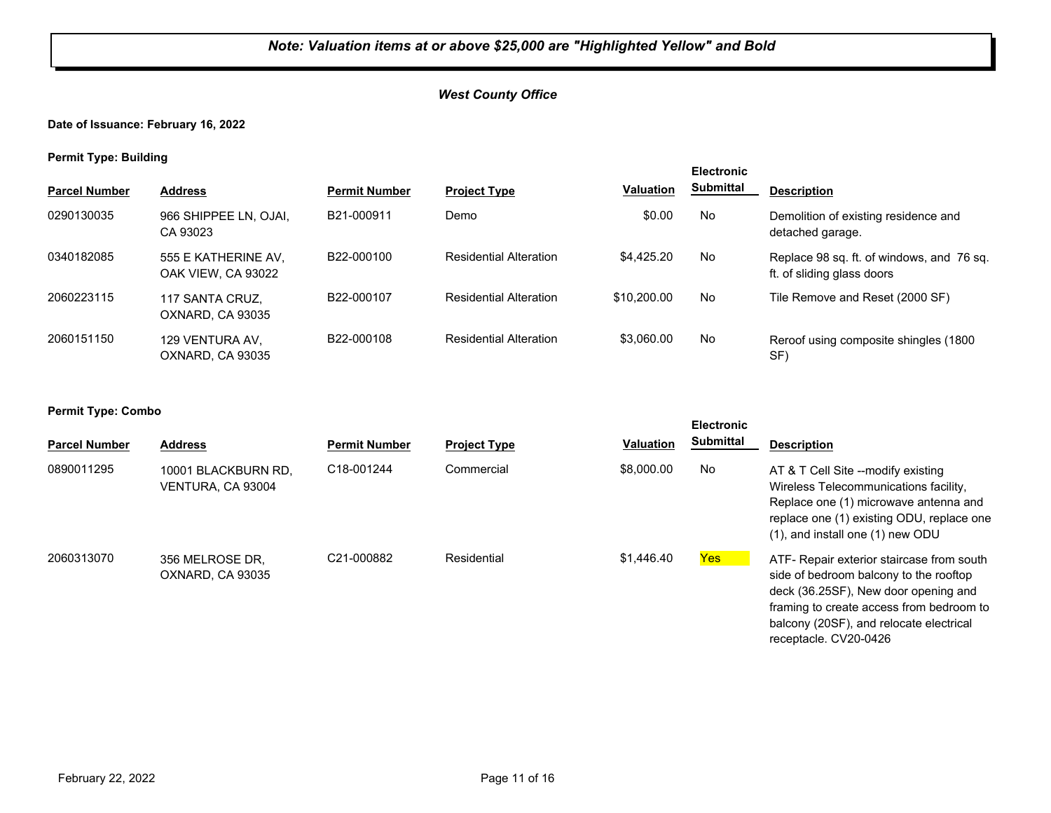# *West County Office*

# **Date of Issuance: February 16, 2022**

**Permit Type: Building**

| . .                  |                                           |                      |                               |                  | <b>Electronic</b> |                                                                         |
|----------------------|-------------------------------------------|----------------------|-------------------------------|------------------|-------------------|-------------------------------------------------------------------------|
| <b>Parcel Number</b> | <b>Address</b>                            | <b>Permit Number</b> | <b>Project Type</b>           | <b>Valuation</b> | <b>Submittal</b>  | <b>Description</b>                                                      |
| 0290130035           | 966 SHIPPEE LN, OJAI,<br>CA 93023         | B21-000911           | Demo                          | \$0.00           | <b>No</b>         | Demolition of existing residence and<br>detached garage.                |
| 0340182085           | 555 E KATHERINE AV,<br>OAK VIEW, CA 93022 | B22-000100           | <b>Residential Alteration</b> | \$4.425.20       | <b>No</b>         | Replace 98 sq. ft. of windows, and 76 sq.<br>ft. of sliding glass doors |
| 2060223115           | 117 SANTA CRUZ,<br>OXNARD, CA 93035       | B22-000107           | <b>Residential Alteration</b> | \$10,200.00      | <b>No</b>         | Tile Remove and Reset (2000 SF)                                         |
| 2060151150           | 129 VENTURA AV.<br>OXNARD, CA 93035       | B22-000108           | <b>Residential Alteration</b> | \$3.060.00       | <b>No</b>         | Reroof using composite shingles (1800)<br>SF                            |

| . .<br><b>Parcel Number</b> | <b>Address</b>                           | <b>Permit Number</b> | <b>Project Type</b> | <b>Valuation</b> | <b>Electronic</b><br><b>Submittal</b> | <b>Description</b>                                                                                                                                                                                                                          |
|-----------------------------|------------------------------------------|----------------------|---------------------|------------------|---------------------------------------|---------------------------------------------------------------------------------------------------------------------------------------------------------------------------------------------------------------------------------------------|
| 0890011295                  | 10001 BLACKBURN RD,<br>VENTURA, CA 93004 | C18-001244           | Commercial          | \$8,000.00       | No                                    | AT & T Cell Site --modify existing<br>Wireless Telecommunications facility,<br>Replace one (1) microwave antenna and<br>replace one (1) existing ODU, replace one<br>(1), and install one (1) new ODU                                       |
| 2060313070                  | 356 MELROSE DR.<br>OXNARD, CA 93035      | C21-000882           | Residential         | \$1,446.40       | Yes                                   | ATF- Repair exterior staircase from south<br>side of bedroom balcony to the rooftop<br>deck (36.25SF), New door opening and<br>framing to create access from bedroom to<br>balcony (20SF), and relocate electrical<br>receptacle. CV20-0426 |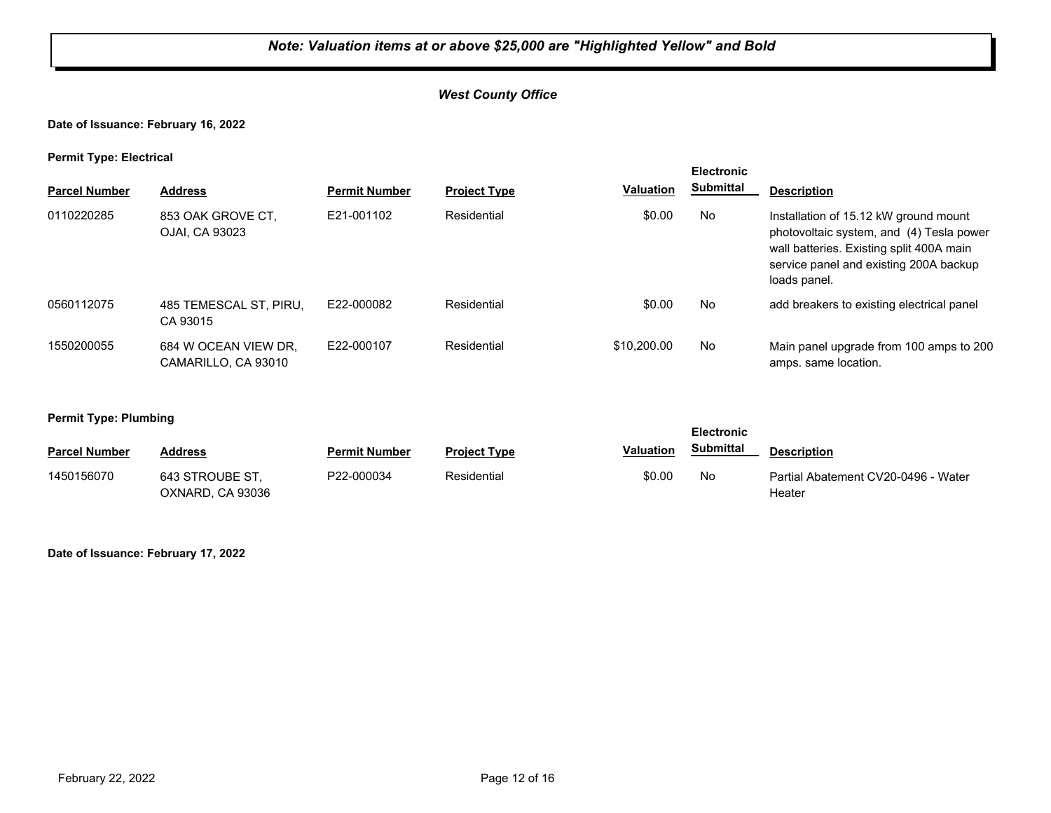# *West County Office*

# **Date of Issuance: February 16, 2022**

#### **Permit Type: Electrical**

|                      |                                             | <b>Electronic</b>    |                     |                  |                  |                                                                                                                                                                                         |
|----------------------|---------------------------------------------|----------------------|---------------------|------------------|------------------|-----------------------------------------------------------------------------------------------------------------------------------------------------------------------------------------|
| <b>Parcel Number</b> | <b>Address</b>                              | <b>Permit Number</b> | <b>Project Type</b> | <b>Valuation</b> | <b>Submittal</b> | <b>Description</b>                                                                                                                                                                      |
| 0110220285           | 853 OAK GROVE CT,<br>OJAI. CA 93023         | E21-001102           | Residential         | \$0.00           | No               | Installation of 15.12 kW ground mount<br>photovoltaic system, and (4) Tesla power<br>wall batteries. Existing split 400A main<br>service panel and existing 200A backup<br>loads panel. |
| 0560112075           | 485 TEMESCAL ST, PIRU,<br>CA 93015          | E22-000082           | Residential         | \$0.00           | No               | add breakers to existing electrical panel                                                                                                                                               |
| 1550200055           | 684 W OCEAN VIEW DR.<br>CAMARILLO. CA 93010 | E22-000107           | Residential         | \$10,200.00      | No               | Main panel upgrade from 100 amps to 200<br>amps. same location.                                                                                                                         |

#### **Permit Type: Plumbing**

| .                    |                                     |                      |                     |                  | <b>Electronic</b> |                                               |  |
|----------------------|-------------------------------------|----------------------|---------------------|------------------|-------------------|-----------------------------------------------|--|
| <b>Parcel Number</b> | <b>Address</b>                      | <b>Permit Number</b> | <b>Project Type</b> | <b>Valuation</b> | <b>Submittal</b>  | <b>Description</b>                            |  |
| 1450156070           | 643 STROUBE ST.<br>OXNARD, CA 93036 | P22-000034           | Residential         | \$0.00           | No                | Partial Abatement CV20-0496 - Water<br>Heater |  |

#### **Date of Issuance: February 17, 2022**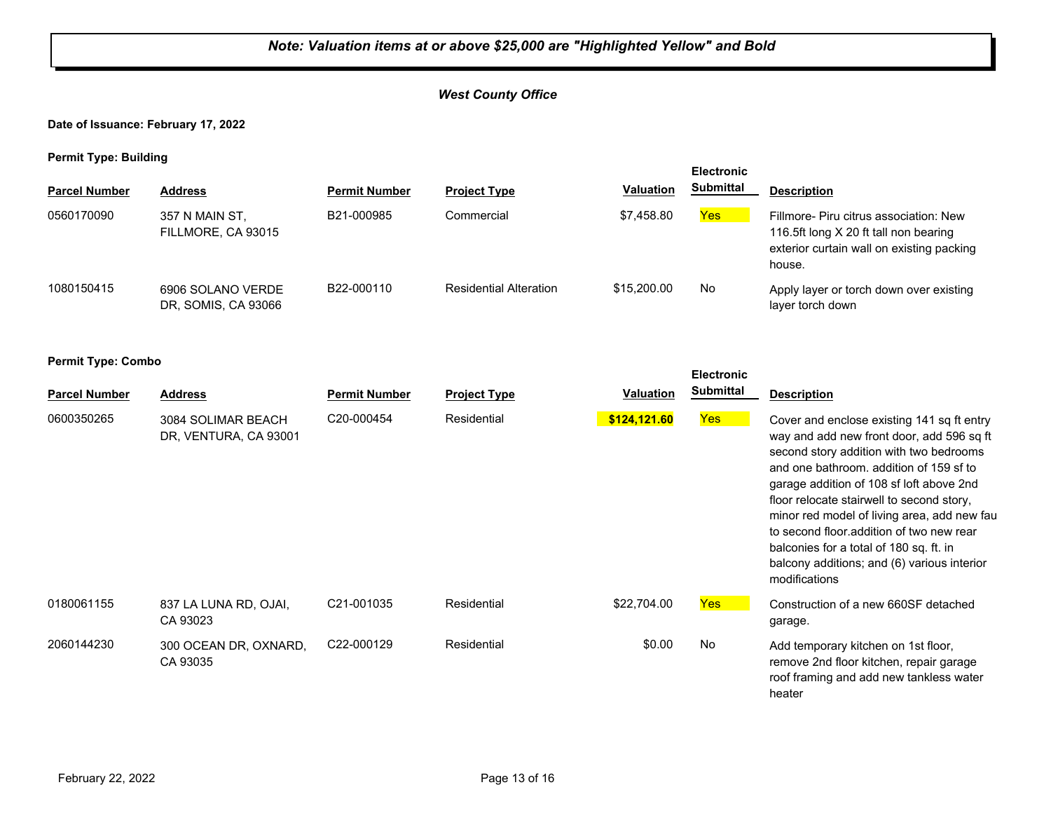# *West County Office*

## **Date of Issuance: February 17, 2022**

**Permit Type: Building**

| . .                  |                                          |                      |                               |                  | <b>Electronic</b> |                                                                                                                                        |
|----------------------|------------------------------------------|----------------------|-------------------------------|------------------|-------------------|----------------------------------------------------------------------------------------------------------------------------------------|
| <b>Parcel Number</b> | <b>Address</b>                           | <b>Permit Number</b> | <b>Project Type</b>           | <b>Valuation</b> | <b>Submittal</b>  | <b>Description</b>                                                                                                                     |
| 0560170090           | 357 N MAIN ST,<br>FILLMORE, CA 93015     | B21-000985           | Commercial                    | \$7.458.80       | Yes               | Fillmore- Piru citrus association: New<br>116.5ft long X 20 ft tall non bearing<br>exterior curtain wall on existing packing<br>house. |
| 1080150415           | 6906 SOLANO VERDE<br>DR, SOMIS, CA 93066 | B22-000110           | <b>Residential Alteration</b> | \$15,200.00      | No                | Apply layer or torch down over existing<br>layer torch down                                                                            |

|                      |                                             |                         |                     |                  | <b>Electronic</b> |                                                                                                                                                                                                                                                                                                                                                                                                                                                                              |
|----------------------|---------------------------------------------|-------------------------|---------------------|------------------|-------------------|------------------------------------------------------------------------------------------------------------------------------------------------------------------------------------------------------------------------------------------------------------------------------------------------------------------------------------------------------------------------------------------------------------------------------------------------------------------------------|
| <b>Parcel Number</b> | <b>Address</b>                              | <b>Permit Number</b>    | <b>Project Type</b> | <b>Valuation</b> | <b>Submittal</b>  | <b>Description</b>                                                                                                                                                                                                                                                                                                                                                                                                                                                           |
| 0600350265           | 3084 SOLIMAR BEACH<br>DR, VENTURA, CA 93001 | C20-000454              | Residential         | \$124,121.60     | <b>Yes</b>        | Cover and enclose existing 141 sq ft entry<br>way and add new front door, add 596 sq ft<br>second story addition with two bedrooms<br>and one bathroom, addition of 159 sf to<br>garage addition of 108 sf loft above 2nd<br>floor relocate stairwell to second story,<br>minor red model of living area, add new fau<br>to second floor addition of two new rear<br>balconies for a total of 180 sq. ft. in<br>balcony additions; and (6) various interior<br>modifications |
| 0180061155           | 837 LA LUNA RD, OJAI,<br>CA 93023           | C <sub>21</sub> -001035 | Residential         | \$22,704.00      | <b>Yes</b>        | Construction of a new 660SF detached<br>garage.                                                                                                                                                                                                                                                                                                                                                                                                                              |
| 2060144230           | 300 OCEAN DR, OXNARD,<br>CA 93035           | C22-000129              | Residential         | \$0.00           | No                | Add temporary kitchen on 1st floor,<br>remove 2nd floor kitchen, repair garage<br>roof framing and add new tankless water<br>heater                                                                                                                                                                                                                                                                                                                                          |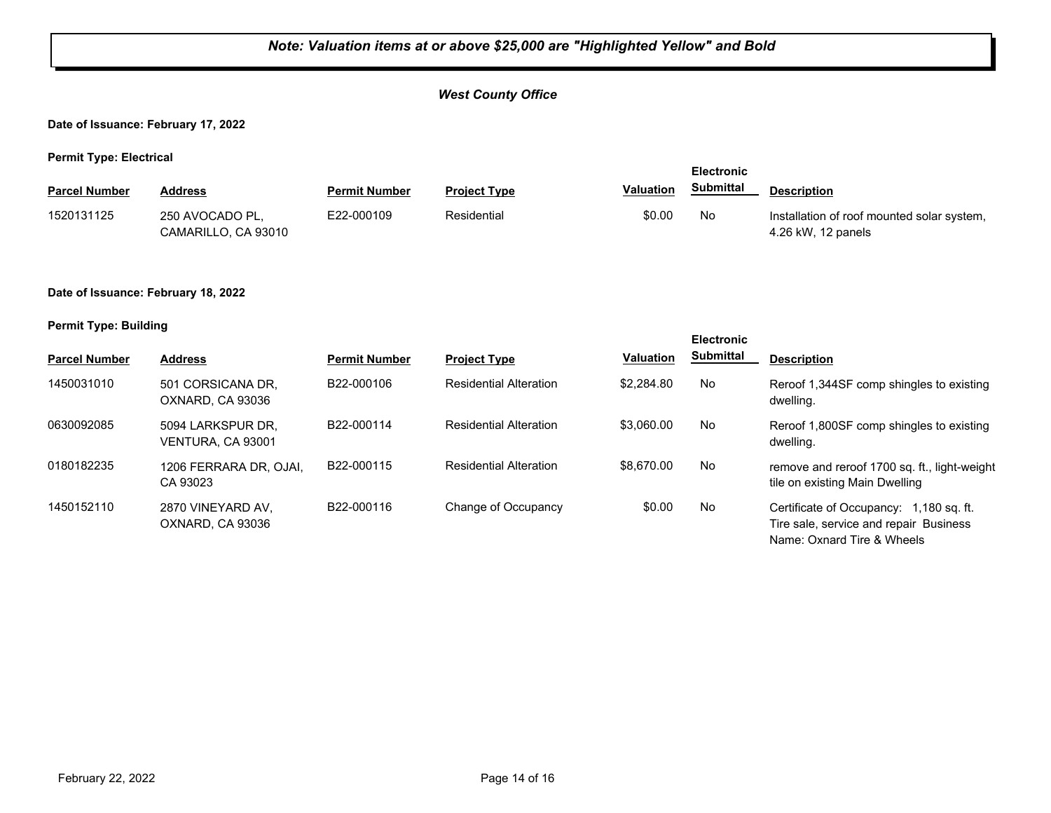# *West County Office*

**Date of Issuance: February 17, 2022**

**Permit Type: Electrical**

|                      |                                        |                      |                     |                  | <b>Electronic</b> |                                                                  |  |
|----------------------|----------------------------------------|----------------------|---------------------|------------------|-------------------|------------------------------------------------------------------|--|
| <b>Parcel Number</b> | Address                                | <b>Permit Number</b> | <b>Project Type</b> | <b>Valuation</b> | Submittal         | <b>Description</b>                                               |  |
| 1520131125           | 250 AVOCADO PL.<br>CAMARILLO. CA 93010 | E22-000109           | Residential         | \$0.00           | No                | Installation of roof mounted solar system,<br>4.26 kW, 12 panels |  |

#### **Date of Issuance: February 18, 2022**

#### **Permit Type: Building**

|                      |                                        |                         |                               |                  | <b>Electronic</b> |                                                                                   |
|----------------------|----------------------------------------|-------------------------|-------------------------------|------------------|-------------------|-----------------------------------------------------------------------------------|
| <b>Parcel Number</b> | <b>Address</b>                         | <b>Permit Number</b>    | <b>Project Type</b>           | <b>Valuation</b> | <b>Submittal</b>  | <b>Description</b>                                                                |
| 1450031010           | 501 CORSICANA DR.<br>OXNARD, CA 93036  | B22-000106              | <b>Residential Alteration</b> | \$2,284.80       | No                | Reroof 1,344SF comp shingles to existing<br>dwelling.                             |
| 0630092085           | 5094 LARKSPUR DR.<br>VENTURA. CA 93001 | B <sub>22</sub> -000114 | <b>Residential Alteration</b> | \$3.060.00       | No                | Reroof 1,800SF comp shingles to existing<br>dwelling.                             |
| 0180182235           | 1206 FERRARA DR, OJAI,<br>CA 93023     | B22-000115              | <b>Residential Alteration</b> | \$8,670,00       | No                | remove and reroof 1700 sq. ft., light-weight<br>tile on existing Main Dwelling    |
| 1450152110           | 2870 VINEYARD AV.<br>OXNARD, CA 93036  | B22-000116              | Change of Occupancy           | \$0.00           | No                | Certificate of Occupancy: 1,180 sq. ft.<br>Tire sale, service and repair Business |

Name: Oxnard Tire & Wheels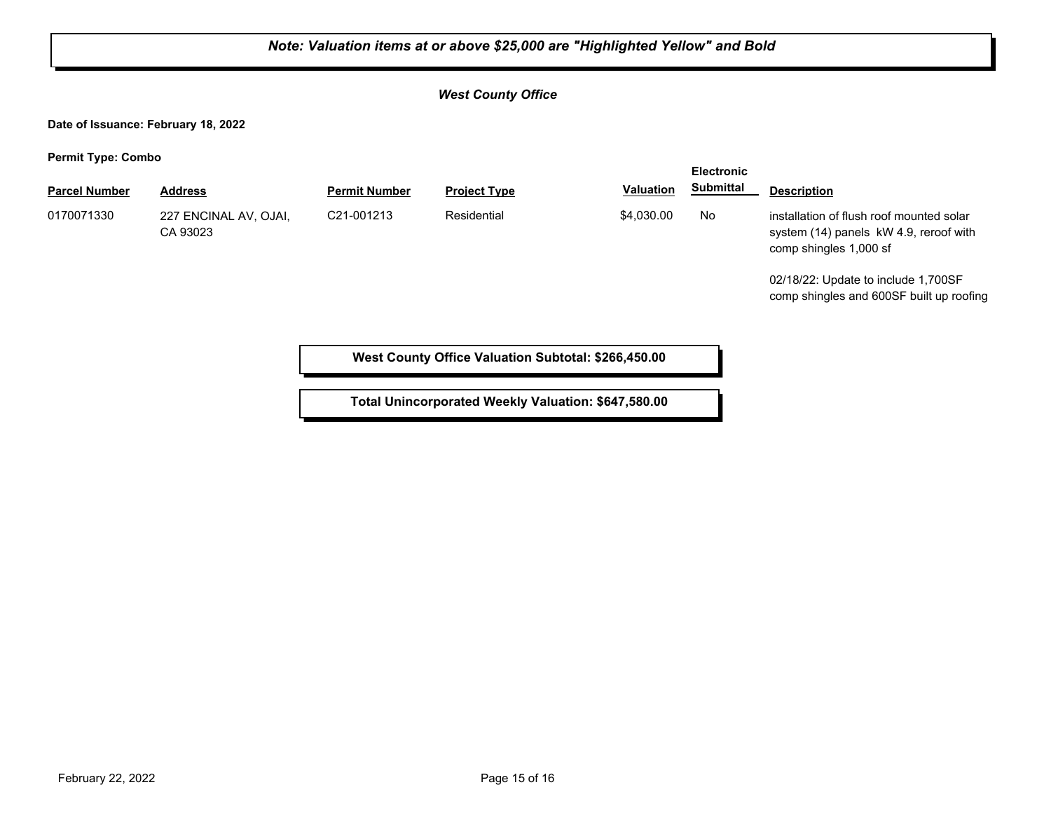# *Note: Valuation items at or above \$25,000 are "Highlighted Yellow" and Bold West County Office* **Date of Issuance: February 18, 2022 Permit Type: Combo Parcel Number Address <b>Permit Number Project Type Valuation Submittal Description Electronic Submittal** 0170071330 227 ENCINAL AV, OJAI, C21-001213 Residential \$4,030.00 No CA 93023 C21-001213 Residential **\$4,030.00** No installation of flush roof mounted solar system (14) panels kW 4.9, reroof with comp shingles 1,000 sf 02/18/22: Update to include 1,700SF comp shingles and 600SF built up roofing **West County Office Valuation Subtotal: \$266,450.00**

**Total Unincorporated Weekly Valuation: \$647,580.00**